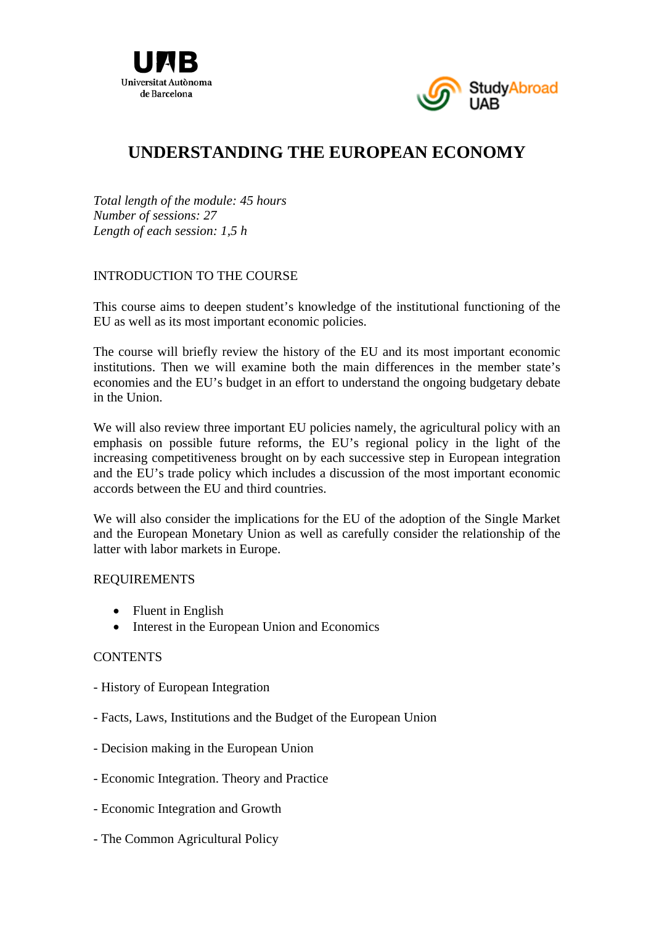



# **UNDERSTANDING THE EUROPEAN ECONOMY**

*Total length of the module: 45 hours Number of sessions: 27 Length of each session: 1,5 h* 

## INTRODUCTION TO THE COURSE

This course aims to deepen student's knowledge of the institutional functioning of the EU as well as its most important economic policies.

The course will briefly review the history of the EU and its most important economic institutions. Then we will examine both the main differences in the member state's economies and the EU's budget in an effort to understand the ongoing budgetary debate in the Union.

We will also review three important EU policies namely, the agricultural policy with an emphasis on possible future reforms, the EU's regional policy in the light of the increasing competitiveness brought on by each successive step in European integration and the EU's trade policy which includes a discussion of the most important economic accords between the EU and third countries.

We will also consider the implications for the EU of the adoption of the Single Market and the European Monetary Union as well as carefully consider the relationship of the latter with labor markets in Europe.

### REQUIREMENTS

- Fluent in English
- Interest in the European Union and Economics

### **CONTENTS**

- History of European Integration
- Facts, Laws, Institutions and the Budget of the European Union
- Decision making in the European Union
- Economic Integration. Theory and Practice
- Economic Integration and Growth
- The Common Agricultural Policy